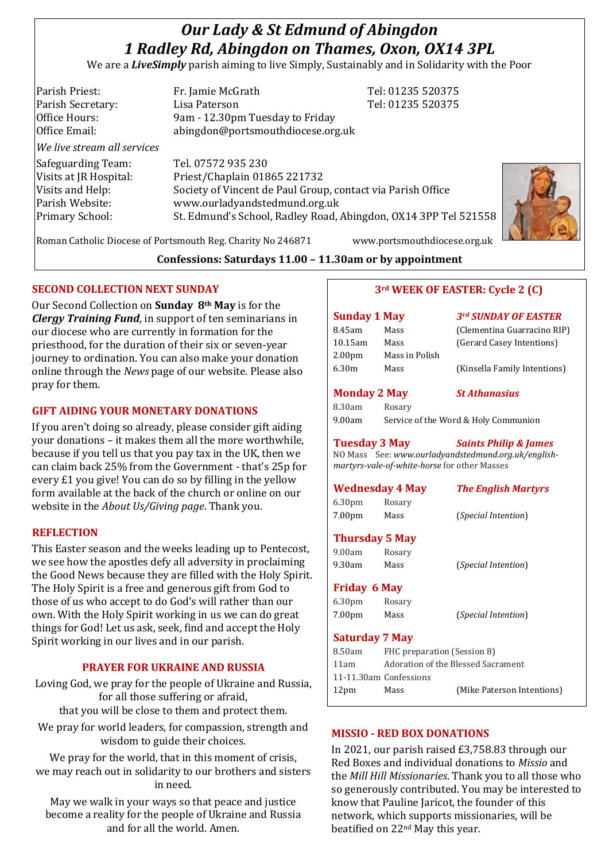# *Our Lady & St Edmund of Abingdon 1 Radley Rd, Abingdon on Thames, Oxon, OX14 3PL*

We are a *LiveSimply* parish aiming to live Simply, Sustainably and in Solidarity with the Poor

Parish Priest: Fr. Jamie McGrath Tel: 01235 520375 Parish Secretary: Tel: 01235 520375 Office Hours: 9am - 12.30pm Tuesday to Friday Office Email: abingdon@portsmouthdiocese.org.uk *We live stream all services* Safeguarding Team: Tel. 07572 935 230 Visits at JR Hospital: Priest/Chaplain 01865 221732 Visits and Help: Society of Vincent de Paul Group, contact via Parish Office Parish Website: www.ourladyandstedmund.org.uk Primary School: St. Edmund's School, Radley Road, Abingdon, OX14 3PP Tel 521558

Roman Catholic Diocese of Portsmouth Reg. Charity No 246871 www.portsmouthdiocese.org.uk

**Confessions: Saturdays 11.00 – 11.30am or by appointment**

#### **SECOND COLLECTION NEXT SUNDAY**

Our Second Collection on **Sunday 8th May** is for the *Clergy Training Fund*, in support of ten seminarians in our diocese who are currently in formation for the priesthood, for the duration of their six or seven-year journey to ordination. You can also make your donation online through the *News* page of our website. Please also pray for them.

## **GIFT AIDING YOUR MONETARY DONATIONS**

If you aren't doing so already, please consider gift aiding your donations – it makes them all the more worthwhile, because if you tell us that you pay tax in the UK, then we can claim back 25% from the Government - that's 25p for every £1 you give! You can do so by filling in the yellow form available at the back of the church or online on our website in the *About Us/Giving page*. Thank you.

#### **REFLECTION**

This Easter season and the weeks leading up to Pentecost, we see how the apostles defy all adversity in proclaiming the Good News because they are filled with the Holy Spirit. The Holy Spirit is a free and generous gift from God to those of us who accept to do God's will rather than our own. With the Holy Spirit working in us we can do great things for God! Let us ask, seek, find and accept the Holy Spirit working in our lives and in our parish.

#### **PRAYER FOR UKRAINE AND RUSSIA**

Loving God, we pray for the people of Ukraine and Russia, for all those suffering or afraid, that you will be close to them and protect them.

We pray for world leaders, for compassion, strength and wisdom to guide their choices.

We pray for the world, that in this moment of crisis, we may reach out in solidarity to our brothers and sisters in need.

May we walk in your ways so that peace and justice become a reality for the people of Ukraine and Russia and for all the world. Amen.

#### **3rd WEEK OF EASTER: Cycle 2 (C)**

| <b>Sunday 1 May</b> |                | 3rd SUNDAY OF EASTER         |
|---------------------|----------------|------------------------------|
| 8.45am              | Mass           | (Clementina Guarracino RIP)  |
| 10.15am             | Mass           | (Gerard Casey Intentions)    |
| 2.00 <sub>pm</sub>  | Mass in Polish |                              |
| 6.30m               | Mass           | (Kinsella Family Intentions) |
| <b>Monday 2 May</b> |                | <b>St Athanasius</b>         |

| 8.30am | Rosary        |
|--------|---------------|
| 9.00am | Service of th |

9.00am Service of the Word & Holy Communion

**Tuesday 3 May** *Saints Philip & James*

NO Mass See: *www.ourladyandstedmund.org.uk/englishmartyrs-vale-of-white-horse* for other Masses

#### **Wednesday 4 May** *The English Martyrs*

6.30pm Rosary 7.00pm Mass (*Special Intention*)

9.00am Rosary 9.30am Mass (*Special Intention*)

**Thursday 5 May**

#### **Friday 6 May**

6.30pm Rosary 7.00pm Mass (*Special Intention*)

#### **Saturday 7 May**

| 8.50am                 | FHC preparation (Session 8)        |                            |  |
|------------------------|------------------------------------|----------------------------|--|
| 11am                   | Adoration of the Blessed Sacrament |                            |  |
| 11-11.30am Confessions |                                    |                            |  |
| 12 <sub>pm</sub>       | Mass                               | (Mike Paterson Intentions) |  |
|                        |                                    |                            |  |

#### **MISSIO - RED BOX DONATIONS**

In 2021, our parish raised £3,758.83 through our Red Boxes and individual donations to *Missio* and the *Mill Hill Missionaries*. Thank you to all those who so generously contributed. You may be interested to know that Pauline Jaricot, the founder of this network, which supports missionaries, will be beatified on 22nd May this year.